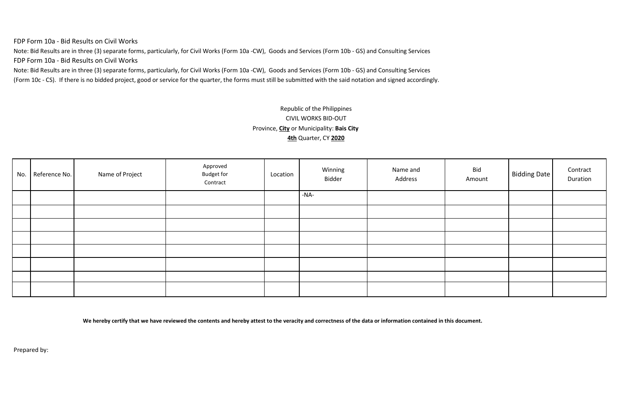FDP Form 10a - Bid Results on Civil Works

Note: Bid Results are in three (3) separate forms, particularly, for Civil Works (Form 10a -CW), Goods and Services (Form 10b - GS) and Consulting Services FDP Form 10a - Bid Results on Civil Works

Note: Bid Results are in three (3) separate forms, particularly, for Civil Works (Form 10a -CW), Goods and Services (Form 10b - GS) and Consulting Services

(Form 10c - CS). If there is no bidded project, good or service for the quarter, the forms must still be submitted with the said notation and signed accordingly.

# Republic of the Philippines CIVIL WORKS BID-OUT Province, **City** or Municipality: **Bais City 4th** Quarter, CY **2020**

| No. | Reference No. | Name of Project | Approved<br><b>Budget for</b><br>Contract | Location | Winning<br>Bidder | Name and<br>Address | Bid<br>Amount | Bidding Date | Contract<br>Duration |
|-----|---------------|-----------------|-------------------------------------------|----------|-------------------|---------------------|---------------|--------------|----------------------|
|     |               |                 |                                           |          | -NA-              |                     |               |              |                      |
|     |               |                 |                                           |          |                   |                     |               |              |                      |
|     |               |                 |                                           |          |                   |                     |               |              |                      |
|     |               |                 |                                           |          |                   |                     |               |              |                      |
|     |               |                 |                                           |          |                   |                     |               |              |                      |
|     |               |                 |                                           |          |                   |                     |               |              |                      |
|     |               |                 |                                           |          |                   |                     |               |              |                      |
|     |               |                 |                                           |          |                   |                     |               |              |                      |

**We hereby certify that we have reviewed the contents and hereby attest to the veracity and correctness of the data or information contained in this document.**

Prepared by: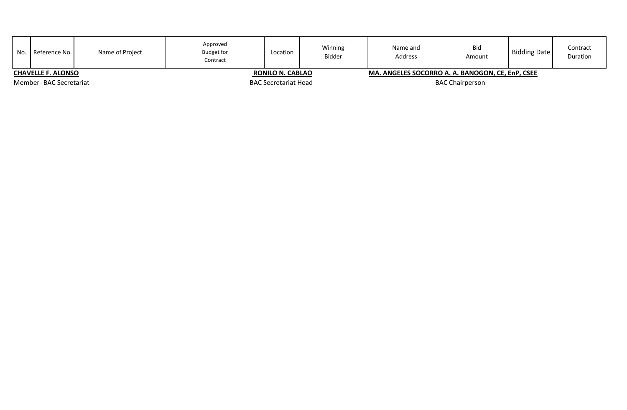| No.                    | Reference No.             | Name of Project | Approved<br><b>Budget for</b><br>Contract | Location                    | Winning<br>Bidder | Name and<br>Address                              | Bid<br>Amount | Bidding Date | Contract<br><b>Duration</b> |
|------------------------|---------------------------|-----------------|-------------------------------------------|-----------------------------|-------------------|--------------------------------------------------|---------------|--------------|-----------------------------|
|                        | <b>CHAVELLE F. ALONSO</b> |                 |                                           | <b>RONILO N. CABLAO</b>     |                   | MA. ANGELES SOCORRO A. A. BANOGON, CE, EnP, CSEE |               |              |                             |
| Member-BAC Secretariat |                           |                 |                                           | <b>BAC Secretariat Head</b> |                   | <b>BAC Chairperson</b>                           |               |              |                             |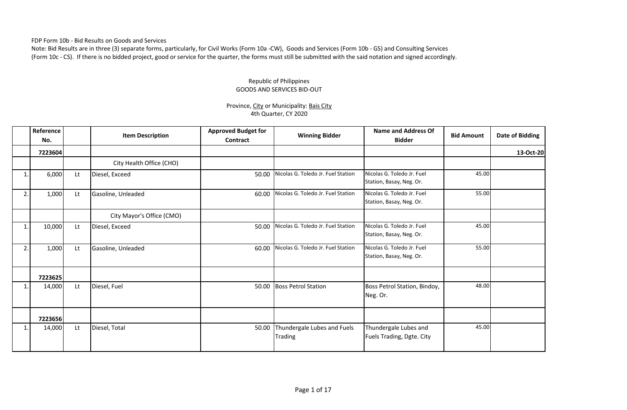FDP Form 10b - Bid Results on Goods and Services

Note: Bid Results are in three (3) separate forms, particularly, for Civil Works (Form 10a -CW), Goods and Services (Form 10b - GS) and Consulting Services (Form 10c - CS). If there is no bidded project, good or service for the quarter, the forms must still be submitted with the said notation and signed accordingly.

#### Republic of Philippines GOODS AND SERVICES BID-OUT

### Province, City or Municipality: Bais City 4th Quarter, CY 2020

|    | Reference<br>No. |    | <b>Item Description</b>   | <b>Approved Budget for</b><br>Contract | <b>Winning Bidder</b>                         | <b>Name and Address Of</b><br><b>Bidder</b>            | <b>Bid Amount</b> | Date of Bidding |
|----|------------------|----|---------------------------|----------------------------------------|-----------------------------------------------|--------------------------------------------------------|-------------------|-----------------|
|    | 7223604          |    |                           |                                        |                                               |                                                        |                   | 13-Oct-20       |
|    |                  |    | City Health Office (CHO)  |                                        |                                               |                                                        |                   |                 |
| 1  | 6,000            | Lt | Diesel, Exceed            | 50.00                                  | Nicolas G. Toledo Jr. Fuel Station            | Nicolas G. Toledo Jr. Fuel<br>Station, Basay, Neg. Or. | 45.00             |                 |
| 2. | 1,000            | Lt | Gasoline, Unleaded        | 60.00                                  | Nicolas G. Toledo Jr. Fuel Station            | Nicolas G. Toledo Jr. Fuel<br>Station, Basay, Neg. Or. | 55.00             |                 |
|    |                  |    | City Mayor's Office (CMO) |                                        |                                               |                                                        |                   |                 |
| 1. | 10,000           | Lt | Diesel, Exceed            | 50.00                                  | Nicolas G. Toledo Jr. Fuel Station            | Nicolas G. Toledo Jr. Fuel<br>Station, Basay, Neg. Or. | 45.00             |                 |
| 2. | 1,000            | Lt | Gasoline, Unleaded        | 60.00                                  | Nicolas G. Toledo Jr. Fuel Station            | Nicolas G. Toledo Jr. Fuel<br>Station, Basay, Neg. Or. | 55.00             |                 |
|    | 7223625          |    |                           |                                        |                                               |                                                        |                   |                 |
| 1. | 14,000           | Lt | Diesel, Fuel              | 50.00                                  | <b>Boss Petrol Station</b>                    | Boss Petrol Station, Bindoy,<br>Neg. Or.               | 48.00             |                 |
|    | 7223656          |    |                           |                                        |                                               |                                                        |                   |                 |
|    | 14,000           | Lt | Diesel, Total             | 50.00                                  | Thundergale Lubes and Fuels<br><b>Trading</b> | Thundergale Lubes and<br>Fuels Trading, Dgte. City     | 45.00             |                 |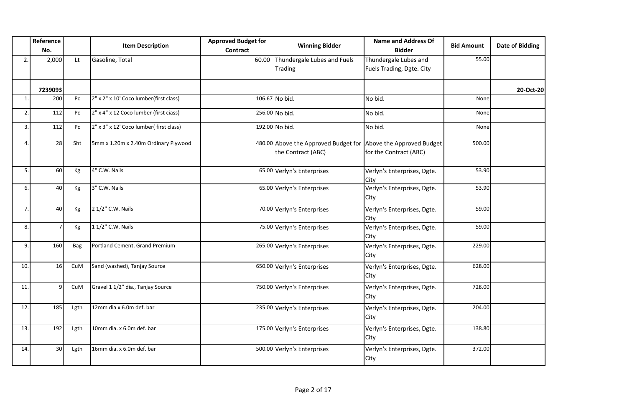|                | Reference<br>No. |                | <b>Item Description</b>                 | <b>Approved Budget for</b><br><b>Contract</b> | <b>Winning Bidder</b>                                                                | <b>Name and Address Of</b><br><b>Bidder</b>        | <b>Bid Amount</b> | <b>Date of Bidding</b> |
|----------------|------------------|----------------|-----------------------------------------|-----------------------------------------------|--------------------------------------------------------------------------------------|----------------------------------------------------|-------------------|------------------------|
| 2.             | 2,000            | Lt             | Gasoline, Total                         | 60.00                                         | Thundergale Lubes and Fuels<br>Trading                                               | Thundergale Lubes and<br>Fuels Trading, Dgte. City | 55.00             |                        |
|                | 7239093          |                |                                         |                                               |                                                                                      |                                                    |                   | 20-Oct-20              |
| $\mathbf{1}$   | 200              | P <sub>C</sub> | 2" x 2" x 10' Coco lumber(first class)  |                                               | 106.67 No bid.                                                                       | No bid.                                            | None              |                        |
| 2.             | 112              | Pc             | 2" x 4" x 12 Coco lumber (first ciass)  |                                               | 256.00 No bid.                                                                       | No bid.                                            | None              |                        |
| 3.             | 112              | Pc             | 2" x 3" x 12' Coco lumber( first class) |                                               | 192.00 No bid.                                                                       | No bid.                                            | None              |                        |
| $\overline{4}$ | 28               | Sht            | 5mm x 1.20m x 2.40m Ordinary Plywood    |                                               | 480.00 Above the Approved Budget for Above the Approved Budget<br>the Contract (ABC) | for the Contract (ABC)                             | 500.00            |                        |
| 5.             | 60               | Kg             | 4" C.W. Nails                           |                                               | 65.00 Verlyn's Enterprises                                                           | Verlyn's Enterprises, Dgte.<br>City                | 53.90             |                        |
| 6.             | 40               | Кg             | 3" C.W. Nails                           |                                               | 65.00 Verlyn's Enterprises                                                           | Verlyn's Enterprises, Dgte.<br>City                | 53.90             |                        |
| $\overline{7}$ | 40               | Kg             | 2 1/2" C.W. Nails                       |                                               | 70.00 Verlyn's Enterprises                                                           | Verlyn's Enterprises, Dgte.<br>City                | 59.00             |                        |
| 8.             |                  | Кg             | 1 1/2" C.W. Nails                       |                                               | 75.00 Verlyn's Enterprises                                                           | Verlyn's Enterprises, Dgte.<br>City                | 59.00             |                        |
| 9.             | 160              | Bag            | Portland Cement, Grand Premium          |                                               | 265.00 Verlyn's Enterprises                                                          | Verlyn's Enterprises, Dgte.<br>City                | 229.00            |                        |
| 10.            | 16               | CuM            | Sand (washed), Tanjay Source            |                                               | 650.00 Verlyn's Enterprises                                                          | Verlyn's Enterprises, Dgte.<br>City                | 628.00            |                        |
| 11             | $\mathsf{q}$     | CuM            | Gravel 1 1/2" dia., Tanjay Source       |                                               | 750.00 Verlyn's Enterprises                                                          | Verlyn's Enterprises, Dgte.<br>City                | 728.00            |                        |
| 12.            | 185              | Lgth           | 12mm dia x 6.0m def. bar                |                                               | 235.00 Verlyn's Enterprises                                                          | Verlyn's Enterprises, Dgte.<br>City                | 204.00            |                        |
| 13.            | 192              | Lgth           | 10mm dia. x 6.0m def. bar               |                                               | 175.00 Verlyn's Enterprises                                                          | Verlyn's Enterprises, Dgte.<br>City                | 138.80            |                        |
| 14.            | 30               | Lgth           | 16mm dia. x 6.0m def. bar               |                                               | 500.00 Verlyn's Enterprises                                                          | Verlyn's Enterprises, Dgte.<br>City                | 372.00            |                        |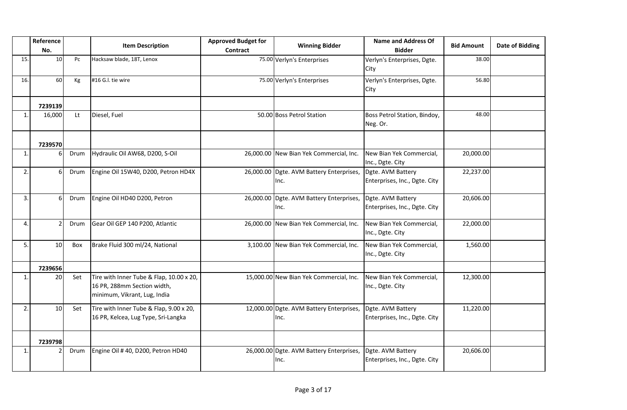|     | Reference<br>No. |      | <b>Item Description</b>                                                                                 | <b>Approved Budget for</b><br><b>Contract</b> | <b>Winning Bidder</b>                            | <b>Name and Address Of</b><br><b>Bidder</b>        | <b>Bid Amount</b> | <b>Date of Bidding</b> |
|-----|------------------|------|---------------------------------------------------------------------------------------------------------|-----------------------------------------------|--------------------------------------------------|----------------------------------------------------|-------------------|------------------------|
| 15. | 10               | Pc   | Hacksaw blade, 18T, Lenox                                                                               |                                               | 75.00 Verlyn's Enterprises                       | Verlyn's Enterprises, Dgte.<br>City                | 38.00             |                        |
| 16. | 60               | Kg   | #16 G.I. tie wire                                                                                       |                                               | 75.00 Verlyn's Enterprises                       | Verlyn's Enterprises, Dgte.<br>City                | 56.80             |                        |
|     | 7239139          |      |                                                                                                         |                                               |                                                  |                                                    |                   |                        |
| 1.  | 16,000           | Lt   | Diesel, Fuel                                                                                            |                                               | 50.00 Boss Petrol Station                        | Boss Petrol Station, Bindoy,<br>Neg. Or.           | 48.00             |                        |
|     | 7239570          |      |                                                                                                         |                                               |                                                  |                                                    |                   |                        |
| 1.  | 6                | Drum | Hydraulic Oil AW68, D200, S-Oil                                                                         |                                               | 26,000.00 New Bian Yek Commercial, Inc.          | New Bian Yek Commercial,<br>Inc., Dgte. City       | 20,000.00         |                        |
| 2.  | 6                | Drum | Engine Oil 15W40, D200, Petron HD4X                                                                     |                                               | 26,000.00 Dgte. AVM Battery Enterprises,<br>Inc. | Dgte. AVM Battery<br>Enterprises, Inc., Dgte. City | 22,237.00         |                        |
| 3.  | 6                | Drum | Engine Oil HD40 D200, Petron                                                                            | 26,000.00                                     | Dgte. AVM Battery Enterprises,<br>Inc.           | Dgte. AVM Battery<br>Enterprises, Inc., Dgte. City | 20,606.00         |                        |
| 4.  | $\overline{2}$   | Drum | Gear Oil GEP 140 P200, Atlantic                                                                         | 26,000.00                                     | New Bian Yek Commercial, Inc.                    | New Bian Yek Commercial,<br>Inc., Dgte. City       | 22,000.00         |                        |
| 5.  | 10               | Box  | Brake Fluid 300 ml/24, National                                                                         | 3,100.00                                      | New Bian Yek Commercial, Inc.                    | New Bian Yek Commercial,<br>Inc., Dgte. City       | 1,560.00          |                        |
|     | 7239656          |      |                                                                                                         |                                               |                                                  |                                                    |                   |                        |
| 1.  | 20               | Set  | Tire with Inner Tube & Flap, 10.00 x 20,<br>16 PR, 288mm Section width,<br>minimum, Vikrant, Lug, India |                                               | 15,000.00 New Bian Yek Commercial, Inc.          | New Bian Yek Commercial,<br>Inc., Dgte. City       | 12,300.00         |                        |
| 2.  | 10               | Set  | Tire with Inner Tube & Flap, 9.00 x 20,<br>16 PR, Kelcea, Lug Type, Sri-Langka                          |                                               | 12,000.00 Dgte. AVM Battery Enterprises,<br>Inc. | Dgte. AVM Battery<br>Enterprises, Inc., Dgte. City | 11,220.00         |                        |
|     | 7239798          |      |                                                                                                         |                                               |                                                  |                                                    |                   |                        |
| 1.  |                  | Drum | Engine Oil #40, D200, Petron HD40                                                                       |                                               | 26,000.00 Dgte. AVM Battery Enterprises,<br>Inc. | Dgte. AVM Battery<br>Enterprises, Inc., Dgte. City | 20,606.00         |                        |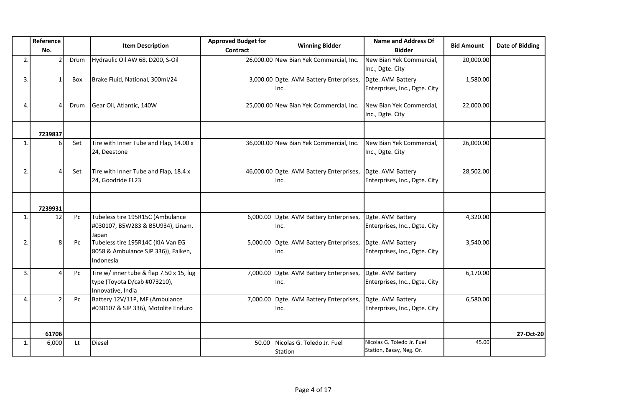|                | Reference<br>No. |      | <b>Item Description</b>                                                                       | <b>Approved Budget for</b><br><b>Contract</b> | <b>Winning Bidder</b>                            | <b>Name and Address Of</b><br><b>Bidder</b>            | <b>Bid Amount</b> | <b>Date of Bidding</b> |
|----------------|------------------|------|-----------------------------------------------------------------------------------------------|-----------------------------------------------|--------------------------------------------------|--------------------------------------------------------|-------------------|------------------------|
| $\overline{2}$ |                  | Drum | Hydraulic Oil AW 68, D200, S-Oil                                                              |                                               | 26,000.00 New Bian Yek Commercial, Inc.          | New Bian Yek Commercial,<br>Inc., Dgte. City           | 20,000.00         |                        |
| 3.             |                  | Box  | Brake Fluid, National, 300ml/24                                                               |                                               | 3,000.00 Dgte. AVM Battery Enterprises,<br>Inc.  | Dgte. AVM Battery<br>Enterprises, Inc., Dgte. City     | 1,580.00          |                        |
| 4              | $\Delta$         | Drum | Gear Oil, Atlantic, 140W                                                                      |                                               | 25,000.00 New Bian Yek Commercial, Inc.          | New Bian Yek Commercial,<br>Inc., Dgte. City           | 22,000.00         |                        |
|                | 7239837          |      |                                                                                               |                                               |                                                  |                                                        |                   |                        |
| $\mathbf{1}$   | 6                | Set  | Tire with Inner Tube and Flap, 14.00 x<br>24, Deestone                                        |                                               | 36,000.00 New Bian Yek Commercial, Inc.          | New Bian Yek Commercial,<br>Inc., Dgte. City           | 26,000.00         |                        |
| 2.             | $\overline{a}$   | Set  | Tire with Inner Tube and Flap, 18.4 x<br>24, Goodride EL23                                    |                                               | 46,000.00 Dgte. AVM Battery Enterprises,<br>Inc. | Dgte. AVM Battery<br>Enterprises, Inc., Dgte. City     | 28,502.00         |                        |
|                | 7239931          |      |                                                                                               |                                               |                                                  |                                                        |                   |                        |
| $\mathbf{1}$   | 12               | Pc   | Tubeless tire 195R15C (Ambulance<br>#030107, B5W283 & B5U934), Linam,<br>Japan                |                                               | 6,000.00 Dgte. AVM Battery Enterprises,<br>Inc.  | Dgte. AVM Battery<br>Enterprises, Inc., Dgte. City     | 4,320.00          |                        |
| 2              | 8                | Pc   | Tubeless tire 195R14C (KIA Van EG<br>8058 & Ambulance SJP 336)), Falken,<br>Indonesia         |                                               | 5,000.00 Dgte. AVM Battery Enterprises,<br>Inc.  | Dgte. AVM Battery<br>Enterprises, Inc., Dgte. City     | 3,540.00          |                        |
| 3.             |                  | Pc   | Tire w/ inner tube & flap 7.50 x 15, lug<br>type (Toyota D/cab #073210),<br>Innovative, India |                                               | 7,000.00 Dgte. AVM Battery Enterprises,<br>Inc.  | Dgte. AVM Battery<br>Enterprises, Inc., Dgte. City     | 6,170.00          |                        |
| 4              | $\mathcal{P}$    | Pc   | Battery 12V/11P, MF (Ambulance<br>#030107 & SJP 336), Motolite Enduro                         |                                               | 7,000.00 Dgte. AVM Battery Enterprises,<br>Inc.  | Dgte. AVM Battery<br>Enterprises, Inc., Dgte. City     | 6,580.00          |                        |
|                | 61706            |      |                                                                                               |                                               |                                                  |                                                        |                   | 27-Oct-20              |
| $\mathbf{1}$   | 6,000            | Lt   | Diesel                                                                                        | 50.00                                         | Nicolas G. Toledo Jr. Fuel<br>Station            | Nicolas G. Toledo Jr. Fuel<br>Station, Basay, Neg. Or. | 45.00             |                        |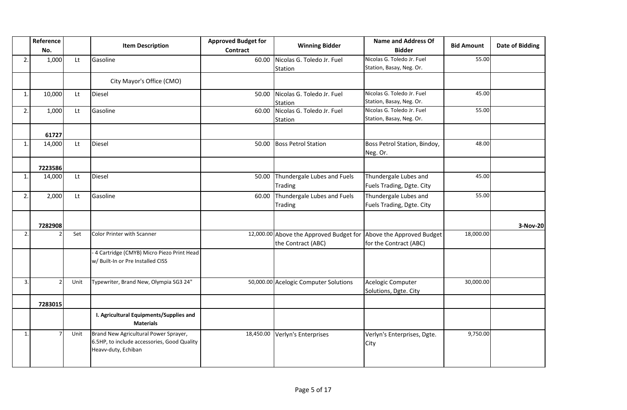|                | Reference<br>No. |      | <b>Item Description</b>                                                                                     | <b>Approved Budget for</b><br><b>Contract</b> | <b>Winning Bidder</b>                                                                   | <b>Name and Address Of</b><br><b>Bidder</b>            | <b>Bid Amount</b> | <b>Date of Bidding</b> |
|----------------|------------------|------|-------------------------------------------------------------------------------------------------------------|-----------------------------------------------|-----------------------------------------------------------------------------------------|--------------------------------------------------------|-------------------|------------------------|
| 2.             | 1,000            | Lt   | Gasoline                                                                                                    | 60.00                                         | Nicolas G. Toledo Jr. Fuel<br>Station                                                   | Nicolas G. Toledo Jr. Fuel<br>Station, Basay, Neg. Or. | 55.00             |                        |
|                |                  |      | City Mayor's Office (CMO)                                                                                   |                                               |                                                                                         |                                                        |                   |                        |
| 1.             | 10,000           | Lt   | Diesel                                                                                                      | 50.00                                         | Nicolas G. Toledo Jr. Fuel<br>Station                                                   | Nicolas G. Toledo Jr. Fuel<br>Station, Basay, Neg. Or. | 45.00             |                        |
| 2.             | 1,000            | Lt   | Gasoline                                                                                                    | 60.00                                         | Nicolas G. Toledo Jr. Fuel<br>Station                                                   | Nicolas G. Toledo Jr. Fuel<br>Station, Basay, Neg. Or. | 55.00             |                        |
|                | 61727            |      |                                                                                                             |                                               |                                                                                         |                                                        |                   |                        |
| 1.             | 14,000           | Lt   | Diesel                                                                                                      | 50.00                                         | <b>Boss Petrol Station</b>                                                              | Boss Petrol Station, Bindoy,<br>Neg. Or.               | 48.00             |                        |
|                | 7223586          |      |                                                                                                             |                                               |                                                                                         |                                                        |                   |                        |
| 1.             | 14,000           | Lt   | Diesel                                                                                                      | 50.00                                         | Thundergale Lubes and Fuels<br>Trading                                                  | Thundergale Lubes and<br>Fuels Trading, Dgte. City     | 45.00             |                        |
| 2.             | 2,000            | Lt   | Gasoline                                                                                                    | 60.00                                         | Thundergale Lubes and Fuels<br>Trading                                                  | Thundergale Lubes and<br>Fuels Trading, Dgte. City     | 55.00             |                        |
|                | 7282908          |      |                                                                                                             |                                               |                                                                                         |                                                        |                   | 3-Nov-20               |
| 2.             |                  | Set  | <b>Color Printer with Scanner</b>                                                                           |                                               | 12,000.00 Above the Approved Budget for Above the Approved Budget<br>the Contract (ABC) | for the Contract (ABC)                                 | 18,000.00         |                        |
|                |                  |      | - 4 Cartridge (CMYB) Micro Piezo Print Head<br>w/ Built-In or Pre Installed CISS                            |                                               |                                                                                         |                                                        |                   |                        |
| 3.             |                  | Unit | Typewriter, Brand New, Olympia SG3 24"                                                                      |                                               | 50,000.00 Acelogic Computer Solutions                                                   | Acelogic Computer<br>Solutions, Dgte. City             | 30,000.00         |                        |
|                | 7283015          |      |                                                                                                             |                                               |                                                                                         |                                                        |                   |                        |
|                |                  |      | I. Agricultural Equipments/Supplies and<br><b>Materials</b>                                                 |                                               |                                                                                         |                                                        |                   |                        |
| $\mathbf{1}$ . |                  | Unit | Brand New Agricultural Power Sprayer,<br>6.5HP, to include accessories, Good Quality<br>Heavv-duty, Echiban | 18,450.00                                     | Verlyn's Enterprises                                                                    | Verlyn's Enterprises, Dgte.<br>City                    | 9,750.00          |                        |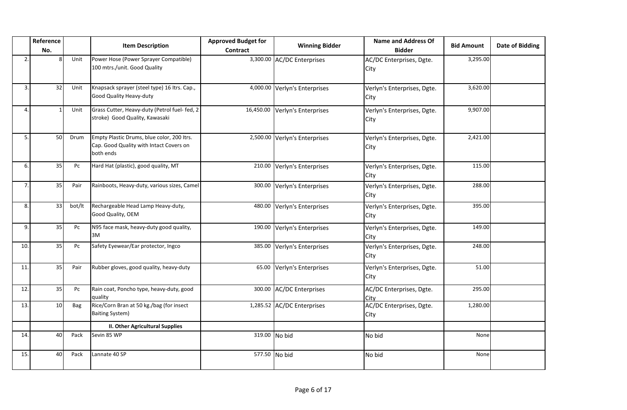|              | Reference<br>No. |        | <b>Item Description</b>                                                                            | <b>Approved Budget for</b><br>Contract | <b>Winning Bidder</b>         | <b>Name and Address Of</b><br><b>Bidder</b> | <b>Bid Amount</b> | <b>Date of Bidding</b> |
|--------------|------------------|--------|----------------------------------------------------------------------------------------------------|----------------------------------------|-------------------------------|---------------------------------------------|-------------------|------------------------|
| 2.           | 8                | Unit   | Power Hose (Power Sprayer Compatible)<br>100 mtrs./unit. Good Quality                              |                                        | 3,300.00 AC/DC Enterprises    | AC/DC Enterprises, Dgte.<br>City            | 3,295.00          |                        |
| 3.           | 32               | Unit   | Knapsack sprayer (steel type) 16 Itrs. Cap.,<br>Good Quality Heavy-duty                            |                                        | 4,000.00 Verlyn's Enterprises | Verlyn's Enterprises, Dgte.<br>City         | 3,620.00          |                        |
| $\mathbf{4}$ |                  | Unit   | Grass Cutter, Heavy-duty (Petrol fuel- fed, 2<br>stroke) Good Quality, Kawasaki                    | 16,450.00                              | Verlyn's Enterprises          | Verlyn's Enterprises, Dgte.<br>City         | 9,907.00          |                        |
| 5.           | 50               | Drum   | Empty Plastic Drums, blue color, 200 Itrs.<br>Cap. Good Quality with Intact Covers on<br>both ends |                                        | 2,500.00 Verlyn's Enterprises | Verlyn's Enterprises, Dgte.<br>City         | 2,421.00          |                        |
| 6.           | 35               | Pc     | Hard Hat (plastic), good quality, MT                                                               |                                        | 210.00 Verlyn's Enterprises   | Verlyn's Enterprises, Dgte.<br>City         | 115.00            |                        |
|              | 35               | Pair   | Rainboots, Heavy-duty, various sizes, Camel                                                        |                                        | 300.00 Verlyn's Enterprises   | Verlyn's Enterprises, Dgte.<br>City         | 288.00            |                        |
| 8.           | 33               | bot/lt | Rechargeable Head Lamp Heavy-duty,<br>Good Quality, OEM                                            |                                        | 480.00 Verlyn's Enterprises   | Verlyn's Enterprises, Dgte.<br>City         | 395.00            |                        |
| 9.           | 35               | Pc     | N95 face mask, heavy-duty good quality,<br>3M                                                      |                                        | 190.00 Verlyn's Enterprises   | Verlyn's Enterprises, Dgte.<br>City         | 149.00            |                        |
| 10.          | 35               | Pc     | Safety Eyewear/Ear protector, Ingco                                                                |                                        | 385.00 Verlyn's Enterprises   | Verlyn's Enterprises, Dgte.<br>City         | 248.00            |                        |
| 11.          | 35               | Pair   | Rubber gloves, good quality, heavy-duty                                                            | 65.00                                  | Verlyn's Enterprises          | Verlyn's Enterprises, Dgte.<br>City         | 51.00             |                        |
| 12.          | 35               | Pc     | Rain coat, Poncho type, heavy-duty, good<br>quality                                                |                                        | 300.00 AC/DC Enterprises      | AC/DC Enterprises, Dgte.<br>City            | 295.00            |                        |
| 13.          | 10               | Bag    | Rice/Corn Bran at 50 kg./bag (for insect<br><b>Baiting System)</b>                                 |                                        | 1,285.52 AC/DC Enterprises    | AC/DC Enterprises, Dgte.<br>City            | 1,280.00          |                        |
|              |                  |        | <b>II. Other Agricultural Supplies</b>                                                             |                                        |                               |                                             |                   |                        |
| 14.          | 40               | Pack   | Sevin 85 WP                                                                                        | 319.00 No bid                          |                               | No bid                                      | None              |                        |
| 15.          | 40               | Pack   | Lannate 40 SP                                                                                      | 577.50 No bid                          |                               | No bid                                      | None              |                        |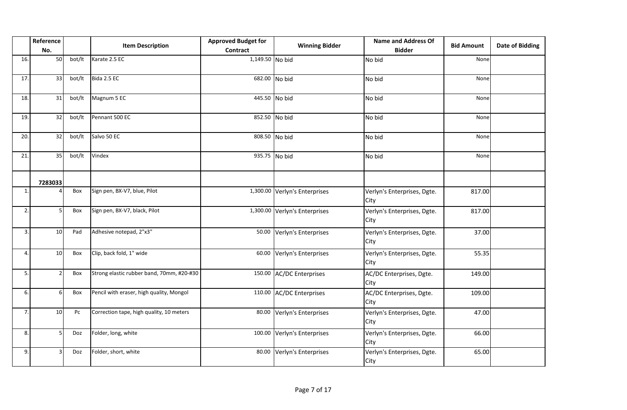|                 | Reference<br>No. |        | <b>Item Description</b>                   | <b>Approved Budget for</b><br><b>Contract</b> | <b>Winning Bidder</b>         | <b>Name and Address Of</b><br><b>Bidder</b> | <b>Bid Amount</b> | <b>Date of Bidding</b> |
|-----------------|------------------|--------|-------------------------------------------|-----------------------------------------------|-------------------------------|---------------------------------------------|-------------------|------------------------|
| 16.             | 50               | bot/lt | Karate 2.5 EC                             | 1,149.50 No bid                               |                               | No bid                                      | None              |                        |
| 17.             | 33               | bot/lt | Bida 2.5 EC                               |                                               | 682.00 No bid                 | No bid                                      | None              |                        |
| 18.             | 31               | bot/lt | Magnum 5 EC                               |                                               | 445.50 No bid                 | No bid                                      | None              |                        |
| 19.             | 32               | bot/lt | Pennant 500 EC                            |                                               | 852.50 No bid                 | No bid                                      | None              |                        |
| 20.             | 32               | bot/lt | Salvo 50 EC                               |                                               | 808.50 No bid                 | No bid                                      | None              |                        |
| $\overline{21}$ | 35               | bot/lt | Vindex                                    |                                               | 935.75 No bid                 | No bid                                      | None              |                        |
|                 | 7283033          |        |                                           |                                               |                               |                                             |                   |                        |
| $\mathbf{1}$    |                  | Box    | Sign pen, BX-V7, blue, Pilot              |                                               | 1,300.00 Verlyn's Enterprises | Verlyn's Enterprises, Dgte.<br>City         | 817.00            |                        |
| 2.              | 5                | Box    | Sign pen, BX-V7, black, Pilot             |                                               | 1,300.00 Verlyn's Enterprises | Verlyn's Enterprises, Dgte.<br>City         | 817.00            |                        |
| 3.              | 10 <sup>1</sup>  | Pad    | Adhesive notepad, 2"x3"                   | 50.00                                         | Verlyn's Enterprises          | Verlyn's Enterprises, Dgte.<br>City         | 37.00             |                        |
| 4.              | 10               | Box    | Clip, back fold, 1" wide                  | 60.00                                         | Verlyn's Enterprises          | Verlyn's Enterprises, Dgte.<br>City         | 55.35             |                        |
| 5.              |                  | Box    | Strong elastic rubber band, 70mm, #20-#30 |                                               | 150.00 AC/DC Enterprises      | AC/DC Enterprises, Dgte.<br>City            | 149.00            |                        |
| 6.              | $6 \mid$         | Box    | Pencil with eraser, high quality, Mongol  |                                               | 110.00 AC/DC Enterprises      | AC/DC Enterprises, Dgte.<br>City            | 109.00            |                        |
| 7.              | 10               | Pc     | Correction tape, high quality, 10 meters  | 80.00                                         | Verlyn's Enterprises          | Verlyn's Enterprises, Dgte.<br>City         | 47.00             |                        |
| 8.              | 5                | Doz    | Folder, long, white                       |                                               | 100.00 Verlyn's Enterprises   | Verlyn's Enterprises, Dgte.<br>City         | 66.00             |                        |
| 9.              | 3                | Doz    | Folder, short, white                      | 80.00                                         | Verlyn's Enterprises          | Verlyn's Enterprises, Dgte.<br>City         | 65.00             |                        |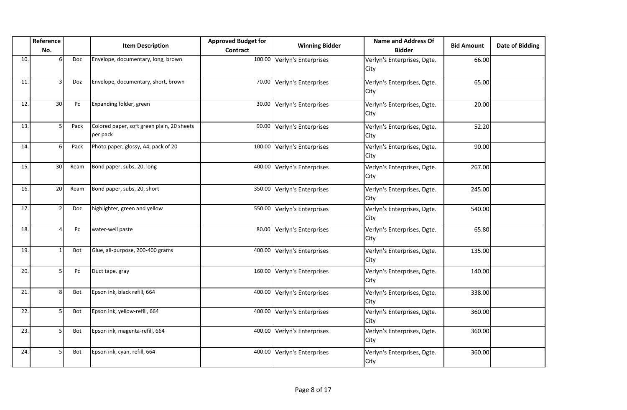|     | Reference<br>No. |                        | <b>Item Description</b>                                | <b>Approved Budget for</b><br>Contract | <b>Winning Bidder</b>       | <b>Name and Address Of</b><br><b>Bidder</b> | <b>Bid Amount</b> | <b>Date of Bidding</b> |
|-----|------------------|------------------------|--------------------------------------------------------|----------------------------------------|-----------------------------|---------------------------------------------|-------------------|------------------------|
| 10. | -6               | Doz                    | Envelope, documentary, long, brown                     | 100.00                                 | Verlyn's Enterprises        | Verlyn's Enterprises, Dgte.<br>City         | 66.00             |                        |
| 11. | 3                | Doz                    | Envelope, documentary, short, brown                    | 70.00                                  | Verlyn's Enterprises        | Verlyn's Enterprises, Dgte.<br>City         | 65.00             |                        |
| 12. | 30 <sup>°</sup>  | Pc                     | Expanding folder, green                                | 30.00                                  | Verlyn's Enterprises        | Verlyn's Enterprises, Dgte.<br>City         | 20.00             |                        |
| 13. | 5                | Pack                   | Colored paper, soft green plain, 20 sheets<br>per pack | 90.00                                  | Verlyn's Enterprises        | Verlyn's Enterprises, Dgte.<br>City         | 52.20             |                        |
| 14. | 6                | Pack                   | Photo paper, glossy, A4, pack of 20                    | 100.00                                 | Verlyn's Enterprises        | Verlyn's Enterprises, Dgte.<br>City         | 90.00             |                        |
| 15. | 30               | Ream                   | Bond paper, subs, 20, long                             | 400.00                                 | Verlyn's Enterprises        | Verlyn's Enterprises, Dgte.<br>City         | 267.00            |                        |
| 16. | 20               | Ream                   | Bond paper, subs, 20, short                            | 350.00                                 | Verlyn's Enterprises        | Verlyn's Enterprises, Dgte.<br>City         | 245.00            |                        |
| 17. | $\overline{2}$   | Doz                    | highlighter, green and yellow                          | 550.00                                 | Verlyn's Enterprises        | Verlyn's Enterprises, Dgte.<br>City         | 540.00            |                        |
| 18. | $\Delta$         | $\mathsf{P}\mathsf{C}$ | water-well paste                                       | 80.00                                  | Verlyn's Enterprises        | Verlyn's Enterprises, Dgte.<br>City         | 65.80             |                        |
| 19. |                  | Bot                    | Glue, all-purpose, 200-400 grams                       | 400.00                                 | Verlyn's Enterprises        | Verlyn's Enterprises, Dgte.<br>City         | 135.00            |                        |
| 20. | 5                | Pc                     | Duct tape, gray                                        |                                        | 160.00 Verlyn's Enterprises | Verlyn's Enterprises, Dgte.<br>City         | 140.00            |                        |
| 21. | 8                | Bot                    | Epson ink, black refill, 664                           | 400.00                                 | Verlyn's Enterprises        | Verlyn's Enterprises, Dgte.<br>City         | 338.00            |                        |
| 22. | 5                | Bot                    | Epson ink, yellow-refill, 664                          | 400.00                                 | Verlyn's Enterprises        | Verlyn's Enterprises, Dgte.<br>City         | 360.00            |                        |
| 23. | 5                | Bot                    | Epson ink, magenta-refill, 664                         | 400.00                                 | Verlyn's Enterprises        | Verlyn's Enterprises, Dgte.<br>City         | 360.00            |                        |
| 24. |                  | Bot                    | Epson ink, cyan, refill, 664                           | 400.00                                 | Verlyn's Enterprises        | Verlyn's Enterprises, Dgte.<br>City         | 360.00            |                        |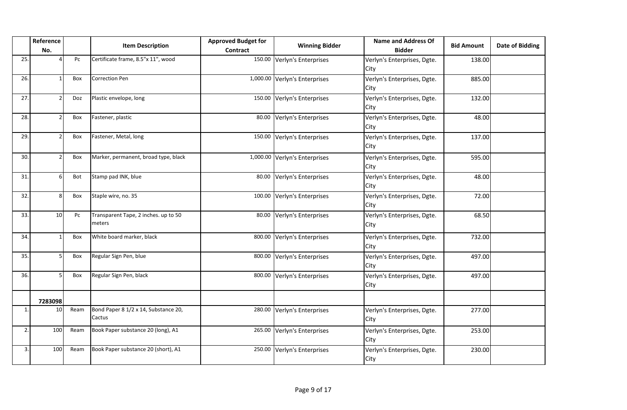|     | Reference<br>No. |      | <b>Item Description</b>                        | <b>Approved Budget for</b><br>Contract | <b>Winning Bidder</b>         | <b>Name and Address Of</b><br><b>Bidder</b> | <b>Bid Amount</b> | <b>Date of Bidding</b> |
|-----|------------------|------|------------------------------------------------|----------------------------------------|-------------------------------|---------------------------------------------|-------------------|------------------------|
| 25. |                  | Pc   | Certificate frame, 8.5"x 11", wood             |                                        | 150.00 Verlyn's Enterprises   | Verlyn's Enterprises, Dgte.<br>City         | 138.00            |                        |
| 26. | $\mathbf 1$      | Box  | <b>Correction Pen</b>                          |                                        | 1,000.00 Verlyn's Enterprises | Verlyn's Enterprises, Dgte.<br>City         | 885.00            |                        |
| 27. |                  | Doz  | Plastic envelope, long                         | 150.00                                 | Verlyn's Enterprises          | Verlyn's Enterprises, Dgte.<br>City         | 132.00            |                        |
| 28. |                  | Box  | Fastener, plastic                              | 80.00                                  | Verlyn's Enterprises          | Verlyn's Enterprises, Dgte.<br>City         | 48.00             |                        |
| 29. |                  | Box  | Fastener, Metal, long                          |                                        | 150.00 Verlyn's Enterprises   | Verlyn's Enterprises, Dgte.<br>City         | 137.00            |                        |
| 30. |                  | Box  | Marker, permanent, broad type, black           |                                        | 1,000.00 Verlyn's Enterprises | Verlyn's Enterprises, Dgte.<br>City         | 595.00            |                        |
| 31. | 6                | Bot  | Stamp pad INK, blue                            | 80.00                                  | Verlyn's Enterprises          | Verlyn's Enterprises, Dgte.<br>City         | 48.00             |                        |
| 32. | 8                | Box  | Staple wire, no. 35                            |                                        | 100.00 Verlyn's Enterprises   | Verlyn's Enterprises, Dgte.<br>City         | 72.00             |                        |
| 33. | 10               | Pc   | Transparent Tape, 2 inches. up to 50<br>meters | 80.00                                  | Verlyn's Enterprises          | Verlyn's Enterprises, Dgte.<br>City         | 68.50             |                        |
| 34. |                  | Box  | White board marker, black                      |                                        | 800.00 Verlyn's Enterprises   | Verlyn's Enterprises, Dgte.<br>City         | 732.00            |                        |
| 35. | .5               | Box  | Regular Sign Pen, blue                         | 800.00                                 | Verlyn's Enterprises          | Verlyn's Enterprises, Dgte.<br>City         | 497.00            |                        |
| 36. | .5               | Box  | Regular Sign Pen, black                        | 800.00                                 | Verlyn's Enterprises          | Verlyn's Enterprises, Dgte.<br>City         | 497.00            |                        |
|     | 7283098          |      |                                                |                                        |                               |                                             |                   |                        |
| 1   | 10               | Ream | Bond Paper 8 1/2 x 14, Substance 20,<br>Cactus |                                        | 280.00 Verlyn's Enterprises   | Verlyn's Enterprises, Dgte.<br>City         | 277.00            |                        |
| 2.  | 100              | Ream | Book Paper substance 20 (long), A1             |                                        | 265.00 Verlyn's Enterprises   | Verlyn's Enterprises, Dgte.<br>City         | 253.00            |                        |
| 3.  | 100              | Ream | Book Paper substance 20 (short), A1            |                                        | 250.00 Verlyn's Enterprises   | Verlyn's Enterprises, Dgte.<br>City         | 230.00            |                        |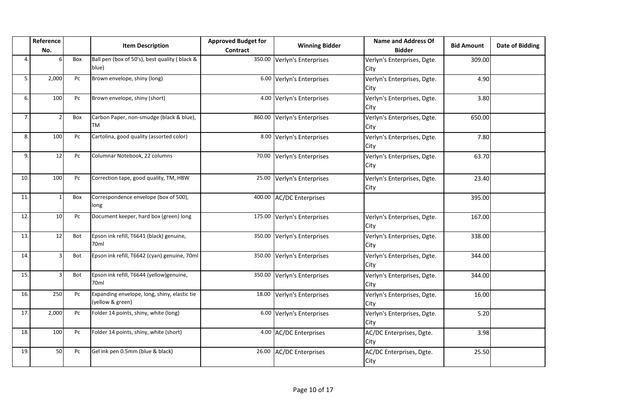|     | Reference<br>No. |     | <b>Item Description</b>                                          | <b>Approved Budget for</b><br>Contract | <b>Winning Bidder</b>       | <b>Name and Address Of</b><br><b>Bidder</b> | <b>Bid Amount</b> | <b>Date of Bidding</b> |
|-----|------------------|-----|------------------------------------------------------------------|----------------------------------------|-----------------------------|---------------------------------------------|-------------------|------------------------|
| 4   |                  | Box | Ball pen (box of 50's), best quality (black &<br>blue)           |                                        | 350.00 Verlyn's Enterprises | Verlyn's Enterprises, Dgte.<br>City         | 309.00            |                        |
| 5.  | 2,000            | Pc  | Brown envelope, shiny (long)                                     |                                        | 6.00 Verlyn's Enterprises   | Verlyn's Enterprises, Dgte.<br>City         | 4.90              |                        |
| 6.  | 100              | Pc  | Brown envelope, shiny (short)                                    |                                        | 4.00 Verlyn's Enterprises   | Verlyn's Enterprises, Dgte.<br>City         | 3.80              |                        |
| 7.  | $\overline{2}$   | Box | Carbon Paper, non-smudge (black & blue),<br><b>TM</b>            | 860.00                                 | Verlyn's Enterprises        | Verlyn's Enterprises, Dgte.<br>City         | 650.00            |                        |
| 8.  | 100              | Pc  | Cartolina, good quality (assorted color)                         |                                        | 8.00 Verlyn's Enterprises   | Verlyn's Enterprises, Dgte.<br>City         | 7.80              |                        |
| 9.  | 12               | Pc  | Columnar Notebook, 22 columns                                    |                                        | 70.00 Verlyn's Enterprises  | Verlyn's Enterprises, Dgte.<br>City         | 63.70             |                        |
| 10. | 100              | Pc  | Correction tape, good quality, TM, HBW                           | 25.00                                  | Verlyn's Enterprises        | Verlyn's Enterprises, Dgte.<br>City         | 23.40             |                        |
| 11. | $\mathbf{1}$     | Box | Correspondence envelope (box of 500),<br>long                    |                                        | 400.00 AC/DC Enterprises    |                                             | 395.00            |                        |
| 12. | 10               | Pc  | Document keeper, hard box (green) long                           |                                        | 175.00 Verlyn's Enterprises | Verlyn's Enterprises, Dgte.<br>City         | 167.00            |                        |
| 13. | 12               | Bot | Epson ink refill, T6641 (black) genuine,<br>70 <sub>ml</sub>     |                                        | 350.00 Verlyn's Enterprises | Verlyn's Enterprises, Dgte.<br>City         | 338.00            |                        |
| 14. | 3                | Bot | Epson ink refill, T6642 (cyan) genuine, 70ml                     |                                        | 350.00 Verlyn's Enterprises | Verlyn's Enterprises, Dgte.<br>City         | 344.00            |                        |
| 15. | 3                | Bot | Epson ink refill, T6644 (yellow)genuine,<br>70ml                 |                                        | 350.00 Verlyn's Enterprises | Verlyn's Enterprises, Dgte.<br>City         | 344.00            |                        |
| 16. | 250              | Pc  | Expanding envelope, long, shiny, elastic tie<br>(yellow & green) | 18.00                                  | Verlyn's Enterprises        | Verlyn's Enterprises, Dgte.<br>City         | 16.00             |                        |
| 17. | 2,000            | Pc  | Folder 14 points, shiny, white (long)                            |                                        | 6.00 Verlyn's Enterprises   | Verlyn's Enterprises, Dgte.<br>City         | 5.20              |                        |
| 18. | 100              | Pc  | Folder 14 points, shiny, white (short)                           |                                        | 4.00 AC/DC Enterprises      | AC/DC Enterprises, Dgte.<br>City            | 3.98              |                        |
| 19. | 50               | Pc  | Gel ink pen 0.5mm (blue & black)                                 | 26.00                                  | <b>AC/DC Enterprises</b>    | AC/DC Enterprises, Dgte.<br>City            | 25.50             |                        |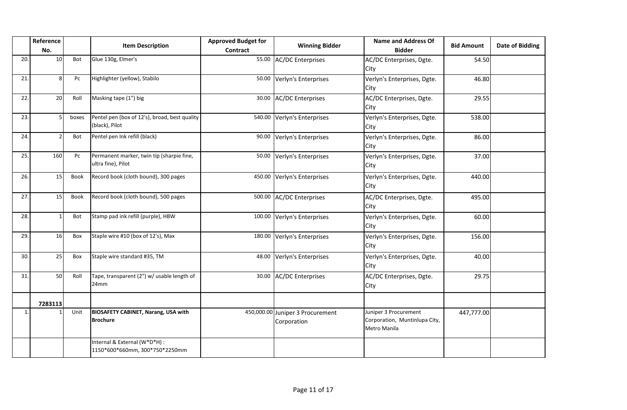|     | Reference<br>No. |             | <b>Item Description</b>                                         | <b>Approved Budget for</b><br>Contract | <b>Winning Bidder</b>                           | <b>Name and Address Of</b><br><b>Bidder</b>                            | <b>Bid Amount</b> | <b>Date of Bidding</b> |
|-----|------------------|-------------|-----------------------------------------------------------------|----------------------------------------|-------------------------------------------------|------------------------------------------------------------------------|-------------------|------------------------|
| 20. | 10               | Bot         | Glue 130g, Elmer's                                              |                                        | 55.00 AC/DC Enterprises                         | AC/DC Enterprises, Dgte.<br>City                                       | 54.50             |                        |
| 21. | 8                | Pc          | Highlighter (yellow), Stabilo                                   | 50.00                                  | Verlyn's Enterprises                            | Verlyn's Enterprises, Dgte.<br>City                                    | 46.80             |                        |
| 22. | 20               | Roll        | Masking tape (1") big                                           | 30.00                                  | <b>AC/DC</b> Enterprises                        | AC/DC Enterprises, Dgte.<br>City                                       | 29.55             |                        |
| 23. | 5                | boxes       | Pentel pen (box of 12's), broad, best quality<br>(black), Pilot |                                        | 540.00 Verlyn's Enterprises                     | Verlyn's Enterprises, Dgte.<br>City                                    | 538.00            |                        |
| 24. | $\mathcal{P}$    | <b>Bot</b>  | Pentel pen Ink refill (black)                                   | 90.00                                  | Verlyn's Enterprises                            | Verlyn's Enterprises, Dgte.<br>City                                    | 86.00             |                        |
| 25. | 160              | Pc          | Permanent marker, twin tip (sharpie fine,<br>ultra fine), Pilot | 50.00                                  | Verlyn's Enterprises                            | Verlyn's Enterprises, Dgte.<br>City                                    | 37.00             |                        |
| 26. | 15               | <b>Book</b> | Record book (cloth bound), 300 pages                            |                                        | 450.00 Verlyn's Enterprises                     | Verlyn's Enterprises, Dgte.<br>City                                    | 440.00            |                        |
| 27. | 15               | <b>Book</b> | Record book (cloth bound), 500 pages                            |                                        | 500.00 AC/DC Enterprises                        | AC/DC Enterprises, Dgte.<br>City                                       | 495.00            |                        |
| 28. | -1               | Bot         | Stamp pad ink refill (purple), HBW                              |                                        | 100.00 Verlyn's Enterprises                     | Verlyn's Enterprises, Dgte.<br>City                                    | 60.00             |                        |
| 29. | 16               | Box         | Staple wire #10 (box of 12's), Max                              |                                        | 180.00 Verlyn's Enterprises                     | Verlyn's Enterprises, Dgte.<br>City                                    | 156.00            |                        |
| 30. | 25               | Box         | Staple wire standard #35, TM                                    | 48.00                                  | Verlyn's Enterprises                            | Verlyn's Enterprises, Dgte.<br>City                                    | 40.00             |                        |
| 31. | 50               | Roll        | Tape, transparent (2") w/ usable length of<br>24mm              | 30.00                                  | <b>AC/DC Enterprises</b>                        | AC/DC Enterprises, Dgte.<br>City                                       | 29.75             |                        |
|     | 7283113          |             |                                                                 |                                        |                                                 |                                                                        |                   |                        |
| 1.  |                  | Unit        | <b>BIOSAFETY CABINET, Narang, USA with</b><br><b>Brochure</b>   |                                        | 450,000.00 Juniper 3 Procurement<br>Corporation | Juniper 3 Procurement<br>Corporation, Muntinlupa City,<br>Metro Manila | 447,777.00        |                        |
|     |                  |             | Internal & External (W*D*H) :<br>1150*600*660mm, 300*750*2250mm |                                        |                                                 |                                                                        |                   |                        |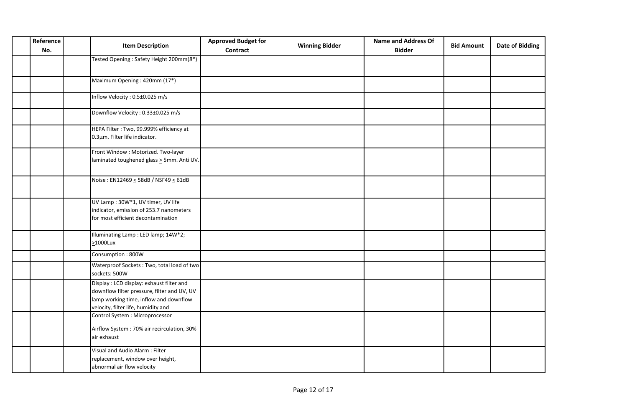| Reference<br><b>Item Description</b><br>No. |                                                                                                                                                                          | <b>Approved Budget for</b><br><b>Contract</b> | <b>Winning Bidder</b> | <b>Name and Address Of</b><br><b>Bidder</b> | <b>Bid Amount</b> | <b>Date of Bidding</b> |
|---------------------------------------------|--------------------------------------------------------------------------------------------------------------------------------------------------------------------------|-----------------------------------------------|-----------------------|---------------------------------------------|-------------------|------------------------|
|                                             | Tested Opening: Safety Height 200mm(8*)                                                                                                                                  |                                               |                       |                                             |                   |                        |
|                                             | Maximum Opening: 420mm (17*)                                                                                                                                             |                                               |                       |                                             |                   |                        |
|                                             | Inflow Velocity: 0.5±0.025 m/s                                                                                                                                           |                                               |                       |                                             |                   |                        |
|                                             | Downflow Velocity: 0.33±0.025 m/s                                                                                                                                        |                                               |                       |                                             |                   |                        |
|                                             | HEPA Filter: Two, 99.999% efficiency at<br>0.3µm. Filter life indicator.                                                                                                 |                                               |                       |                                             |                   |                        |
|                                             | Front Window: Motorized. Two-layer<br>laminated toughened glass > 5mm. Anti UV.                                                                                          |                                               |                       |                                             |                   |                        |
|                                             | Noise: EN12469 < 58dB / NSF49 < 61dB                                                                                                                                     |                                               |                       |                                             |                   |                        |
|                                             | UV Lamp: 30W*1, UV timer, UV life<br>indicator, emission of 253.7 nanometers<br>for most efficient decontamination                                                       |                                               |                       |                                             |                   |                        |
|                                             | Illuminating Lamp: LED lamp; 14W*2;<br>$\geq$ 1000Lux                                                                                                                    |                                               |                       |                                             |                   |                        |
|                                             | Consumption: 800W                                                                                                                                                        |                                               |                       |                                             |                   |                        |
|                                             | Waterproof Sockets: Two, total load of two<br>sockets: 500W                                                                                                              |                                               |                       |                                             |                   |                        |
|                                             | Display: LCD display: exhaust filter and<br>downflow filter pressure, filter and UV, UV<br>lamp working time, inflow and downflow<br>velocity, filter life, humidity and |                                               |                       |                                             |                   |                        |
|                                             | Control System : Microprocessor                                                                                                                                          |                                               |                       |                                             |                   |                        |
|                                             | Airflow System : 70% air recirculation, 30%<br>air exhaust                                                                                                               |                                               |                       |                                             |                   |                        |
|                                             | Visual and Audio Alarm: Filter<br>replacement, window over height,<br>abnormal air flow velocity                                                                         |                                               |                       |                                             |                   |                        |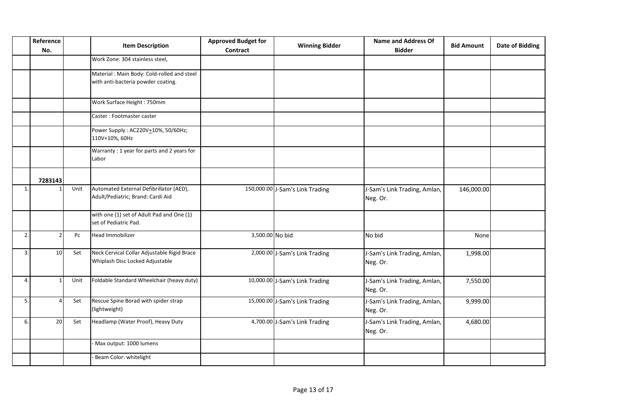|              | Reference<br>No. |      | <b>Approved Budget for</b><br><b>Winning Bidder</b><br><b>Item Description</b><br><b>Contract</b> |                 | <b>Name and Address Of</b><br><b>Bidder</b> | <b>Bid Amount</b>                        | <b>Date of Bidding</b> |  |
|--------------|------------------|------|---------------------------------------------------------------------------------------------------|-----------------|---------------------------------------------|------------------------------------------|------------------------|--|
|              |                  |      | Work Zone: 304 stainless steel,                                                                   |                 |                                             |                                          |                        |  |
|              |                  |      | Material: Main Body: Cold-rolled and steel<br>with anti-bacteria powder coating.                  |                 |                                             |                                          |                        |  |
|              |                  |      | Work Surface Height: 750mm                                                                        |                 |                                             |                                          |                        |  |
|              |                  |      | Caster: Footmaster caster                                                                         |                 |                                             |                                          |                        |  |
|              |                  |      | Power Supply: AC220V+10%, 50/60Hz;<br>110V+10%, 60Hz                                              |                 |                                             |                                          |                        |  |
|              |                  |      | Warranty: 1 year for parts and 2 years for<br>Labor                                               |                 |                                             |                                          |                        |  |
|              | 7283143          |      |                                                                                                   |                 |                                             |                                          |                        |  |
| $\mathbf{1}$ |                  | Unit | Automated External Defibrillator (AED),<br>Adult/Pediatric; Brand: Cardi Aid                      |                 | 150,000.00 J-Sam's Link Trading             | J-Sam's Link Trading, Amlan,<br>Neg. Or. | 146,000.00             |  |
|              |                  |      | with one (1) set of Adult Pad and One (1)<br>set of Pediatric Pad.                                |                 |                                             |                                          |                        |  |
| 2.           |                  | Pc   | Head Immobilizer                                                                                  | 3,500.00 No bid |                                             | No bid                                   | None                   |  |
| 3.           | 10               | Set  | Neck Cervical Collar Adjustable Rigid Brace<br>Whiplash Disc Locked Adjustable                    |                 | 2,000.00 J-Sam's Link Trading               | J-Sam's Link Trading, Amlan,<br>Neg. Or. | 1,998.00               |  |
| 4.           | -1               | Unit | Foldable Standard Wheelchair (heavy duty)                                                         |                 | 10,000.00 J-Sam's Link Trading              | J-Sam's Link Trading, Amlan,<br>Neg. Or. | 7,550.00               |  |
| 5.           |                  | Set  | Rescue Spine Borad with spider strap<br>(lightweight)                                             |                 | 15,000.00 J-Sam's Link Trading              | J-Sam's Link Trading, Amlan,<br>Neg. Or. | 9,999.00               |  |
| 6.           | 20               | Set  | Headlamp (Water Proof), Heavy Duty                                                                |                 | 4,700.00 J-Sam's Link Trading               | J-Sam's Link Trading, Amlan,<br>Neg. Or. | 4,680.00               |  |
|              |                  |      | Max output: 1000 lumens                                                                           |                 |                                             |                                          |                        |  |
|              |                  |      | Beam Color: whitelight                                                                            |                 |                                             |                                          |                        |  |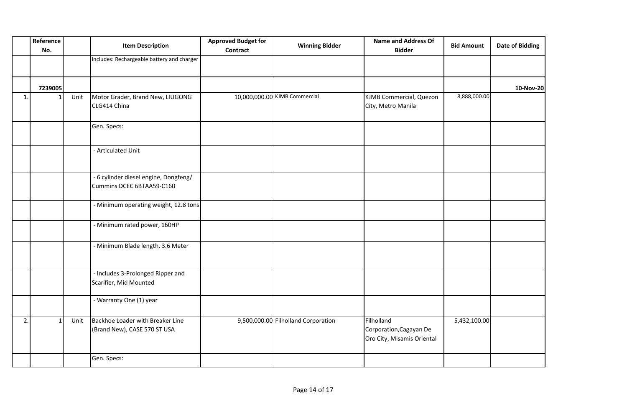|    | Reference<br>No. | <b>Item Description</b> |                                                                    | <b>Approved Budget for</b><br><b>Contract</b> | <b>Winning Bidder</b>               | <b>Name and Address Of</b><br><b>Bidder</b>                         | <b>Bid Amount</b> | <b>Date of Bidding</b> |
|----|------------------|-------------------------|--------------------------------------------------------------------|-----------------------------------------------|-------------------------------------|---------------------------------------------------------------------|-------------------|------------------------|
|    |                  |                         | Includes: Rechargeable battery and charger                         |                                               |                                     |                                                                     |                   |                        |
|    | 7239005          |                         |                                                                    |                                               |                                     |                                                                     |                   | 10-Nov-20              |
| 1. |                  | Unit                    | Motor Grader, Brand New, LIUGONG<br>CLG414 China                   |                                               | 10,000,000.00 KJMB Commercial       | KJMB Commercial, Quezon<br>City, Metro Manila                       | 8,888,000.00      |                        |
|    |                  |                         | Gen. Specs:                                                        |                                               |                                     |                                                                     |                   |                        |
|    |                  |                         | - Articulated Unit                                                 |                                               |                                     |                                                                     |                   |                        |
|    |                  |                         | - 6 cylinder diesel engine, Dongfeng/<br>Cummins DCEC 6BTAA59-C160 |                                               |                                     |                                                                     |                   |                        |
|    |                  |                         | - Minimum operating weight, 12.8 tons                              |                                               |                                     |                                                                     |                   |                        |
|    |                  |                         | - Minimum rated power, 160HP                                       |                                               |                                     |                                                                     |                   |                        |
|    |                  |                         | - Minimum Blade length, 3.6 Meter                                  |                                               |                                     |                                                                     |                   |                        |
|    |                  |                         | - Includes 3-Prolonged Ripper and<br>Scarifier, Mid Mounted        |                                               |                                     |                                                                     |                   |                        |
|    |                  |                         | - Warranty One (1) year                                            |                                               |                                     |                                                                     |                   |                        |
| 2. |                  | Unit                    | Backhoe Loader with Breaker Line<br>(Brand New), CASE 570 ST USA   |                                               | 9,500,000.00 Filholland Corporation | Filholland<br>Corporation, Cagayan De<br>Oro City, Misamis Oriental | 5,432,100.00      |                        |
|    |                  |                         | Gen. Specs:                                                        |                                               |                                     |                                                                     |                   |                        |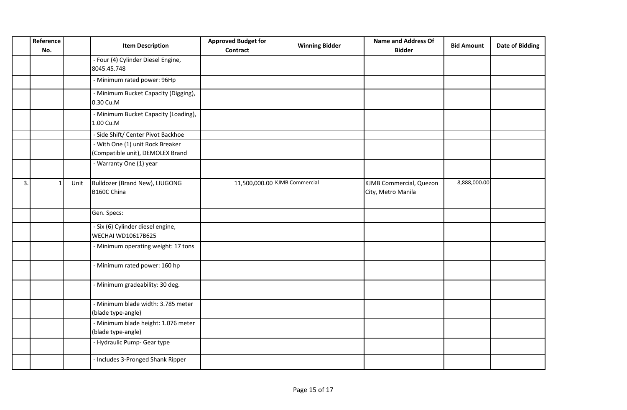|    | Reference<br>No. |      | <b>Item Description</b>                                              | <b>Approved Budget for</b><br><b>Contract</b> | <b>Winning Bidder</b>         | <b>Name and Address Of</b><br><b>Bidder</b>   | <b>Bid Amount</b> | <b>Date of Bidding</b> |
|----|------------------|------|----------------------------------------------------------------------|-----------------------------------------------|-------------------------------|-----------------------------------------------|-------------------|------------------------|
|    |                  |      | - Four (4) Cylinder Diesel Engine,<br>8045.45.748                    |                                               |                               |                                               |                   |                        |
|    |                  |      | - Minimum rated power: 96Hp                                          |                                               |                               |                                               |                   |                        |
|    |                  |      | - Minimum Bucket Capacity (Digging),<br>0.30 Cu.M                    |                                               |                               |                                               |                   |                        |
|    |                  |      | - Minimum Bucket Capacity (Loading),<br>1.00 Cu.M                    |                                               |                               |                                               |                   |                        |
|    |                  |      | - Side Shift/ Center Pivot Backhoe                                   |                                               |                               |                                               |                   |                        |
|    |                  |      | - With One (1) unit Rock Breaker<br>(Compatible unit), DEMOLEX Brand |                                               |                               |                                               |                   |                        |
|    |                  |      | - Warranty One (1) year                                              |                                               |                               |                                               |                   |                        |
| 3. |                  | Unit | Bulldozer (Brand New), LIUGONG<br>B160C China                        |                                               | 11,500,000.00 KJMB Commercial | KJMB Commercial, Quezon<br>City, Metro Manila | 8,888,000.00      |                        |
|    |                  |      | Gen. Specs:                                                          |                                               |                               |                                               |                   |                        |
|    |                  |      | - Six (6) Cylinder diesel engine,<br><b>WECHAI WD10617B625</b>       |                                               |                               |                                               |                   |                        |
|    |                  |      | - Minimum operating weight: 17 tons                                  |                                               |                               |                                               |                   |                        |
|    |                  |      | - Minimum rated power: 160 hp                                        |                                               |                               |                                               |                   |                        |
|    |                  |      | - Minimum gradeability: 30 deg.                                      |                                               |                               |                                               |                   |                        |
|    |                  |      | - Minimum blade width: 3.785 meter<br>(blade type-angle)             |                                               |                               |                                               |                   |                        |
|    |                  |      | - Minimum blade height: 1.076 meter<br>(blade type-angle)            |                                               |                               |                                               |                   |                        |
|    |                  |      | - Hydraulic Pump- Gear type                                          |                                               |                               |                                               |                   |                        |
|    |                  |      | - Includes 3-Pronged Shank Ripper                                    |                                               |                               |                                               |                   |                        |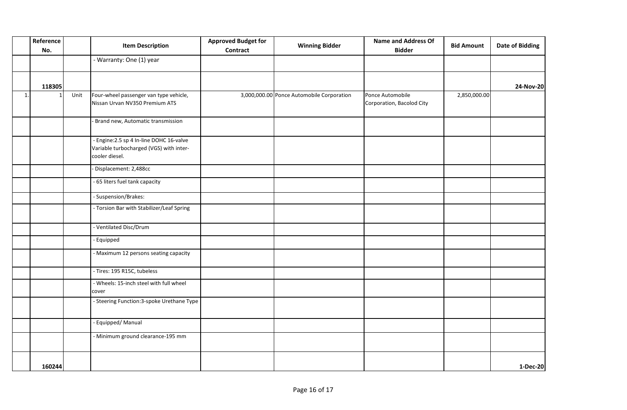|                | Reference<br>No. |      | <b>Item Description</b>                                                                               | <b>Approved Budget for</b><br><b>Contract</b> | <b>Winning Bidder</b>                     | <b>Name and Address Of</b><br><b>Bidder</b>   | <b>Bid Amount</b> | <b>Date of Bidding</b> |
|----------------|------------------|------|-------------------------------------------------------------------------------------------------------|-----------------------------------------------|-------------------------------------------|-----------------------------------------------|-------------------|------------------------|
|                |                  |      | - Warranty: One (1) year                                                                              |                                               |                                           |                                               |                   |                        |
|                | 118305           |      |                                                                                                       |                                               |                                           |                                               |                   | 24-Nov-20              |
| $\mathbf{1}$ . |                  | Unit | Four-wheel passenger van type vehicle,<br>Nissan Urvan NV350 Premium ATS                              |                                               | 3,000,000.00 Ponce Automobile Corporation | Ponce Automobile<br>Corporation, Bacolod City | 2,850,000.00      |                        |
|                |                  |      | Brand new, Automatic transmission                                                                     |                                               |                                           |                                               |                   |                        |
|                |                  |      | - Engine: 2.5 sp 4 In-line DOHC 16-valve<br>Variable turbocharged (VGS) with inter-<br>cooler diesel. |                                               |                                           |                                               |                   |                        |
|                |                  |      | Displacement: 2,488cc                                                                                 |                                               |                                           |                                               |                   |                        |
|                |                  |      | - 65 liters fuel tank capacity                                                                        |                                               |                                           |                                               |                   |                        |
|                |                  |      | - Suspension/Brakes:                                                                                  |                                               |                                           |                                               |                   |                        |
|                |                  |      | - Torsion Bar with Stabilizer/Leaf Spring                                                             |                                               |                                           |                                               |                   |                        |
|                |                  |      | - Ventilated Disc/Drum                                                                                |                                               |                                           |                                               |                   |                        |
|                |                  |      | - Equipped                                                                                            |                                               |                                           |                                               |                   |                        |
|                |                  |      | - Maximum 12 persons seating capacity                                                                 |                                               |                                           |                                               |                   |                        |
|                |                  |      | - Tires: 195 R15C, tubeless                                                                           |                                               |                                           |                                               |                   |                        |
|                |                  |      | - Wheels: 15-inch steel with full wheel<br>cover                                                      |                                               |                                           |                                               |                   |                        |
|                |                  |      | - Steering Function: 3-spoke Urethane Type                                                            |                                               |                                           |                                               |                   |                        |
|                |                  |      | - Equipped/ Manual                                                                                    |                                               |                                           |                                               |                   |                        |
|                |                  |      | - Minimum ground clearance-195 mm                                                                     |                                               |                                           |                                               |                   |                        |
|                | 160244           |      |                                                                                                       |                                               |                                           |                                               |                   | 1-Dec-20               |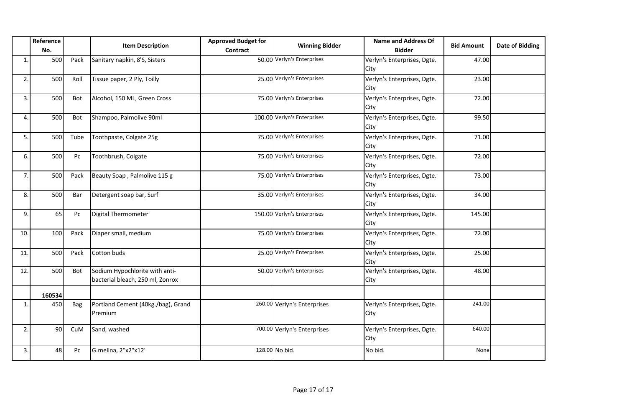|     | Reference<br>No. |      | <b>Item Description</b>                                            | <b>Approved Budget for</b><br><b>Contract</b> | <b>Winning Bidder</b>       | <b>Name and Address Of</b><br><b>Bidder</b> | <b>Bid Amount</b> | <b>Date of Bidding</b> |
|-----|------------------|------|--------------------------------------------------------------------|-----------------------------------------------|-----------------------------|---------------------------------------------|-------------------|------------------------|
| 1.  | 500              | Pack | Sanitary napkin, 8'S, Sisters                                      |                                               | 50.00 Verlyn's Enterprises  | Verlyn's Enterprises, Dgte.<br>City         | 47.00             |                        |
| 2.  | 500              | Roll | Tissue paper, 2 Ply, Toilly                                        |                                               | 25.00 Verlyn's Enterprises  | Verlyn's Enterprises, Dgte.<br>City         | 23.00             |                        |
| 3.  | 500              | Bot  | Alcohol, 150 ML, Green Cross                                       |                                               | 75.00 Verlyn's Enterprises  | Verlyn's Enterprises, Dgte.<br>City         | 72.00             |                        |
| 4.  | 500              | Bot  | Shampoo, Palmolive 90ml                                            |                                               | 100.00 Verlyn's Enterprises | Verlyn's Enterprises, Dgte.<br>City         | 99.50             |                        |
| 5.  | 500              | Tube | Toothpaste, Colgate 25g                                            |                                               | 75.00 Verlyn's Enterprises  | Verlyn's Enterprises, Dgte.<br>City         | 71.00             |                        |
| 6.  | 500              | Pc   | Toothbrush, Colgate                                                |                                               | 75.00 Verlyn's Enterprises  | Verlyn's Enterprises, Dgte.<br>City         | 72.00             |                        |
| 7.  | 500              | Pack | Beauty Soap, Palmolive 115 g                                       |                                               | 75.00 Verlyn's Enterprises  | Verlyn's Enterprises, Dgte.<br>City         | 73.00             |                        |
| 8.  | 500              | Bar  | Detergent soap bar, Surf                                           |                                               | 35.00 Verlyn's Enterprises  | Verlyn's Enterprises, Dgte.<br>City         | 34.00             |                        |
| 9.  | 65               | Pc   | Digital Thermometer                                                |                                               | 150.00 Verlyn's Enterprises | Verlyn's Enterprises, Dgte.<br>City         | 145.00            |                        |
| 10. | 100              | Pack | Diaper small, medium                                               |                                               | 75.00 Verlyn's Enterprises  | Verlyn's Enterprises, Dgte.<br>City         | 72.00             |                        |
| 11. | 500              | Pack | Cotton buds                                                        |                                               | 25.00 Verlyn's Enterprises  | Verlyn's Enterprises, Dgte.<br>City         | 25.00             |                        |
| 12. | 500              | Bot  | Sodium Hypochlorite with anti-<br>bacterial bleach, 250 ml, Zonrox |                                               | 50.00 Verlyn's Enterprises  | Verlyn's Enterprises, Dgte.<br>City         | 48.00             |                        |
|     | 160534           |      |                                                                    |                                               |                             |                                             |                   |                        |
| 1.  | 450              | Bag  | Portland Cement (40kg./bag), Grand<br>Premium                      |                                               | 260.00 Verlyn's Enterprises | Verlyn's Enterprises, Dgte.<br>City         | 241.00            |                        |
| 2.  | 90               | CuM  | Sand, washed                                                       |                                               | 700.00 Verlyn's Enterprises | Verlyn's Enterprises, Dgte.<br>City         | 640.00            |                        |
| 3.  | 48               | Pc   | G.melina, 2"x2"x12'                                                |                                               | 128.00 No bid.              | No bid.                                     | None              |                        |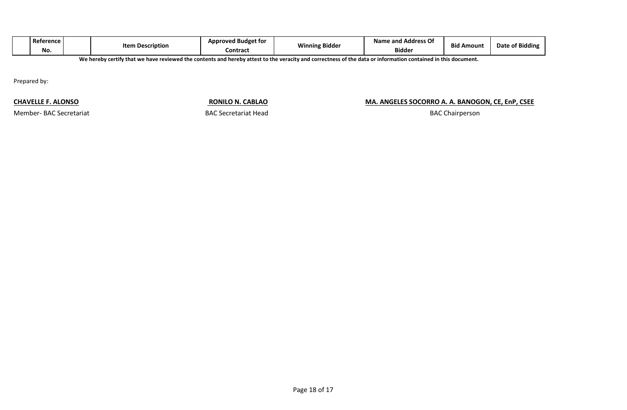| <b>Bidder</b><br>No.<br><b>Contrac</b> ັນ | J Budget for<br>Reference<br>Approves<br>Item<br>n Description | ing Bidder<br><b>AA12</b> | Name and Address Of | <b>Bid Amount</b> | <b>Date of Bidding</b> |
|-------------------------------------------|----------------------------------------------------------------|---------------------------|---------------------|-------------------|------------------------|
|-------------------------------------------|----------------------------------------------------------------|---------------------------|---------------------|-------------------|------------------------|

**We hereby certify that we have reviewed the contents and hereby attest to the veracity and correctness of the data or information contained in this document.**

Prepared by:

**CHAVELLE F. ALONSO RONILO N. CABLAO MA. ANGELES SOCORRO A. A. BANOGON, CE, EnP, CSEE** 

Member- BAC Secretariat **BAC Secretariat Head** 

BAC Chairperson